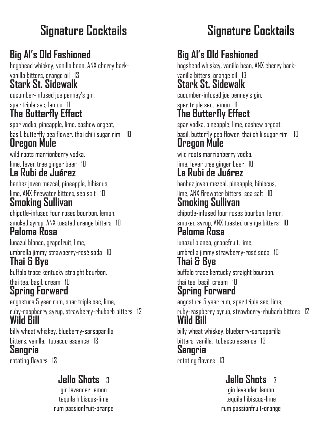# **Signature Cocktails**

# **Big Al's Old Fashioned**

hogshead whiskey, vanilla bean, ANX cherry barkvanilla bitters, orange oil 13

#### **Stark St. Sidewalk**

cucumber-infused joe penney's gin, spar triple sec, lemon 11 **The Butterfly Effect**

# spar vodka, pineapple, lime, cashew orgeat,

basil, butterfly pea flower, thai chili sugar rim 10 **Oregon Mule**

wild roots marrionberry vodka,

lime, fever tree ginger beer 10

### **La Rubi de Juárez**

banhez joven mezcal, pineapple, hibiscus, lime, ANX firewater bitters, sea salt 10

#### **Smoking Sullivan**

chipotle-infused four roses bourbon, lemon, smoked syrup, ANX toasted orange bitters 10 **Paloma Rosa**

lunazul blanco, grapefruit, lime,

umbrella jimmy strawberry-rosé soda 10

### **Thai & Bye**

buffalo trace kentucky straight bourbon,

thai tea, basil, cream 10

### **Spring Forward**

angostura 5 year rum, spar triple sec, lime,

ruby-raspberry syrup, strawberry-rhubarb bitters 12 **Wild Bill**

billy wheat whiskey, blueberry-sarsaparilla bitters, vanilla, tobacco essence 13

#### **Sangria**

rotating flavors 13

## **Jello Shots** 3

gin lavender-lemon tequila hibiscus-lime rum passionfruit-orange

# **Signature Cocktails**

## **Big Al's Old Fashioned**

hogshead whiskey, vanilla bean, ANX cherry barkvanilla bitters, orange oil 13 **Stark St. Sidewalk**

cucumber-infused joe penney's gin, spar triple sec, lemon 11

# **The Butterfly Effect**

spar vodka, pineapple, lime, cashew orgeat, basil, butterfly pea flower, thai chili sugar rim 10 **Oregon Mule**

wild roots marrionberry vodka,

#### lime, fever tree ginger beer 10 **La Rubi de Juárez**

banhez joven mezcal, pineapple, hibiscus,

#### lime, ANX firewater bitters, sea salt 10 **Smoking Sullivan**

chipotle-infused four roses bourbon, lemon, smoked syrup, ANX toasted orange bitters 10

#### **Paloma Rosa**

lunazul blanco, grapefruit, lime,

umbrella jimmy strawberry-rosé soda 10 **Thai & Bye**

buffalo trace kentucky straight bourbon,

thai tea, basil, cream 10 **Spring Forward**

angostura 5 year rum, spar triple sec, lime,

ruby-raspberry syrup, strawberry-rhubarb bitters 12 **Wild Bill**

billy wheat whiskey, blueberry-sarsaparilla bitters, vanilla, tobacco essence 13

#### **Sangria**

rotating flavors 13

### **Jello Shots** 3

gin lavender-lemon tequila hibiscus-lime rum passionfruit-orange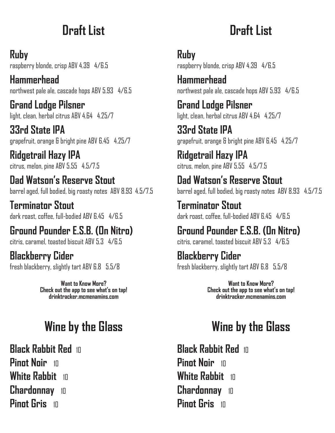# **Draft List**

**Ruby**  raspberry blonde, crisp ABV 4.39 4/6.5

**Hammerhead**  northwest pale ale, cascade hops ABV 5.93 4/6.5

**Grand Lodge Pilsner** light, clean, herbal citrus ABV 4.64 4.25/7

**33rd State IPA** grapefruit, orange & bright pine ABV 6.45 4.25/7

**Ridgetrail Hazy IPA** citrus, melon, pine ABV 5.55 4.5/7.5

**Dad Watson's Reserve Stout**  barrel aged, full bodied, big roasty notes ABV 8.93 4.5/7.5

**Terminator Stout** dark roast, coffee, full-bodied ABV 6.45 4/6.5

**Ground Pounder E.S.B. (On Nitro)** citris, caramel, toasted biscuit ABV 5.3 4/6.5

**Blackberry Cider** fresh blackberry, slightly tart ABV 6.8 5.5/8

> **Want to Know More? Check out the app to see what's on tap! drinktracker.mcmenamins.com**

# **Wine by the Glass**

**Black Rabbit Red** 10 **Pinot Noir** <sup>10</sup> **White Rabbit** <sup>10</sup> **Chardonnay** <sup>10</sup> **Pinot Gris** 10

# **Draft List**

**Ruby** 

raspberry blonde, crisp ABV 4.39 4/6.5

**Hammerhead**  northwest pale ale, cascade hops ABV 5.93 4/6.5

**Grand Lodge Pilsner** light, clean, herbal citrus ABV 4.64 4.25/7

**33rd State IPA** grapefruit, orange & bright pine ABV 6.45 4.25/7

**Ridgetrail Hazy IPA** citrus, melon, pine ABV 5.55 4.5/7.5

# **Dad Watson's Reserve Stout**

barrel aged, full bodied, big roasty notes ABV 8.93 4.5/7.5

**Terminator Stout** dark roast, coffee, full-bodied ABV 6.45 4/6.5

# **Ground Pounder E.S.B. (On Nitro)**

citris, caramel, toasted biscuit ABV 5.3 4/6.5

#### **Blackberry Cider**

fresh blackberry, slightly tart ABV 6.8 5.5/8

**Want to Know More? Check out the app to see what's on tap! drinktracker.mcmenamins.com**

# **Wine by the Glass**

**Black Rabbit Red 10 Pinot Noir** <sup>10</sup> **White Rabbit** <sup>10</sup> **Chardonnay** <sup>10</sup> **Pinot Gris** 10